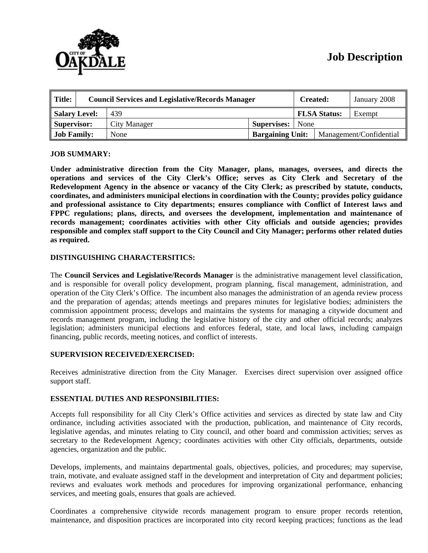

# **Job Description**

| ∥ Title:           | <b>Council Services and Legislative/Records Manager</b> |              |                         | <b>Created:</b> |                         | January 2008 |
|--------------------|---------------------------------------------------------|--------------|-------------------------|-----------------|-------------------------|--------------|
| Salary Level:      |                                                         | 439          |                         |                 | <b>FLSA Status:</b>     | Exempt       |
| Supervisor:        |                                                         | City Manager | <b>Supervises:</b> None |                 |                         |              |
| <b>Job Family:</b> |                                                         | None         | <b>Bargaining Unit:</b> |                 | Management/Confidential |              |

## **JOB SUMMARY:**

**Under administrative direction from the City Manager, plans, manages, oversees, and directs the operations and services of the City Clerk's Office; serves as City Clerk and Secretary of the Redevelopment Agency in the absence or vacancy of the City Clerk; as prescribed by statute, conducts, coordinates, and administers municipal elections in coordination with the County; provides policy guidance and professional assistance to City departments; ensures compliance with Conflict of Interest laws and FPPC regulations; plans, directs, and oversees the development, implementation and maintenance of records management; coordinates activities with other City officials and outside agencies; provides responsible and complex staff support to the City Council and City Manager; performs other related duties as required.** 

# **DISTINGUISHING CHARACTERSITICS:**

The **Council Services and Legislative/Records Manager** is the administrative management level classification, and is responsible for overall policy development, program planning, fiscal management, administration, and operation of the City Clerk's Office. The incumbent also manages the administration of an agenda review process and the preparation of agendas; attends meetings and prepares minutes for legislative bodies; administers the commission appointment process; develops and maintains the systems for managing a citywide document and records management program, including the legislative history of the city and other official records; analyzes legislation; administers municipal elections and enforces federal, state, and local laws, including campaign financing, public records, meeting notices, and conflict of interests.

### **SUPERVISION RECEIVED/EXERCISED:**

Receives administrative direction from the City Manager. Exercises direct supervision over assigned office support staff.

### **ESSENTIAL DUTIES AND RESPONSIBILITIES:**

Accepts full responsibility for all City Clerk's Office activities and services as directed by state law and City ordinance, including activities associated with the production, publication, and maintenance of City records, legislative agendas, and minutes relating to City council, and other board and commission activities; serves as secretary to the Redevelopment Agency; coordinates activities with other City officials, departments, outside agencies, organization and the public.

Develops, implements, and maintains departmental goals, objectives, policies, and procedures; may supervise, train, motivate, and evaluate assigned staff in the development and interpretation of City and department policies; reviews and evaluates work methods and procedures for improving organizational performance, enhancing services, and meeting goals, ensures that goals are achieved.

Coordinates a comprehensive citywide records management program to ensure proper records retention, maintenance, and disposition practices are incorporated into city record keeping practices; functions as the lead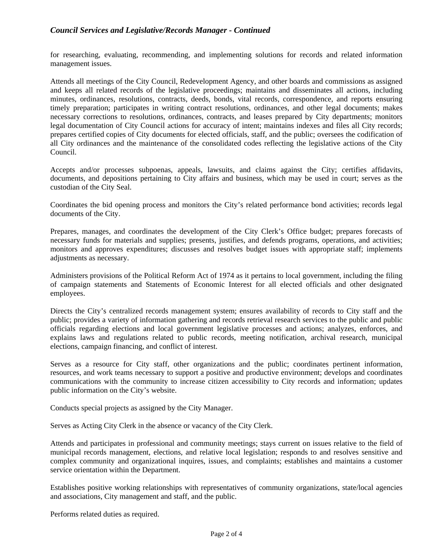# *Council Services and Legislative/Records Manager - Continued*

for researching, evaluating, recommending, and implementing solutions for records and related information management issues.

Attends all meetings of the City Council, Redevelopment Agency, and other boards and commissions as assigned and keeps all related records of the legislative proceedings; maintains and disseminates all actions, including minutes, ordinances, resolutions, contracts, deeds, bonds, vital records, correspondence, and reports ensuring timely preparation; participates in writing contract resolutions, ordinances, and other legal documents; makes necessary corrections to resolutions, ordinances, contracts, and leases prepared by City departments; monitors legal documentation of City Council actions for accuracy of intent; maintains indexes and files all City records; prepares certified copies of City documents for elected officials, staff, and the public; oversees the codification of all City ordinances and the maintenance of the consolidated codes reflecting the legislative actions of the City Council.

Accepts and/or processes subpoenas, appeals, lawsuits, and claims against the City; certifies affidavits, documents, and depositions pertaining to City affairs and business, which may be used in court; serves as the custodian of the City Seal.

Coordinates the bid opening process and monitors the City's related performance bond activities; records legal documents of the City.

Prepares, manages, and coordinates the development of the City Clerk's Office budget; prepares forecasts of necessary funds for materials and supplies; presents, justifies, and defends programs, operations, and activities; monitors and approves expenditures; discusses and resolves budget issues with appropriate staff; implements adjustments as necessary.

Administers provisions of the Political Reform Act of 1974 as it pertains to local government, including the filing of campaign statements and Statements of Economic Interest for all elected officials and other designated employees.

Directs the City's centralized records management system; ensures availability of records to City staff and the public; provides a variety of information gathering and records retrieval research services to the public and public officials regarding elections and local government legislative processes and actions; analyzes, enforces, and explains laws and regulations related to public records, meeting notification, archival research, municipal elections, campaign financing, and conflict of interest.

Serves as a resource for City staff, other organizations and the public; coordinates pertinent information, resources, and work teams necessary to support a positive and productive environment; develops and coordinates communications with the community to increase citizen accessibility to City records and information; updates public information on the City's website.

Conducts special projects as assigned by the City Manager.

Serves as Acting City Clerk in the absence or vacancy of the City Clerk.

Attends and participates in professional and community meetings; stays current on issues relative to the field of municipal records management, elections, and relative local legislation; responds to and resolves sensitive and complex community and organizational inquires, issues, and complaints; establishes and maintains a customer service orientation within the Department.

Establishes positive working relationships with representatives of community organizations, state/local agencies and associations, City management and staff, and the public.

Performs related duties as required.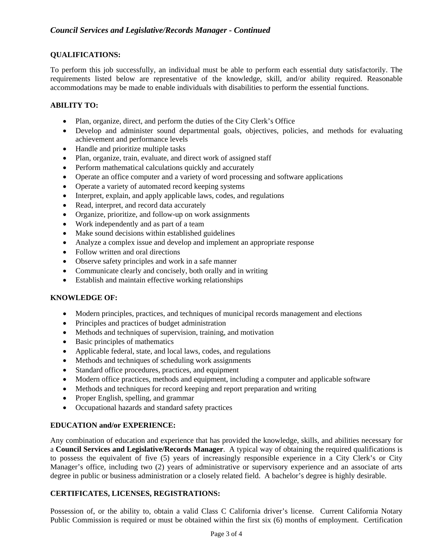# **QUALIFICATIONS:**

To perform this job successfully, an individual must be able to perform each essential duty satisfactorily. The requirements listed below are representative of the knowledge, skill, and/or ability required. Reasonable accommodations may be made to enable individuals with disabilities to perform the essential functions.

# **ABILITY TO:**

- Plan, organize, direct, and perform the duties of the City Clerk's Office
- Develop and administer sound departmental goals, objectives, policies, and methods for evaluating achievement and performance levels
- Handle and prioritize multiple tasks
- Plan, organize, train, evaluate, and direct work of assigned staff
- Perform mathematical calculations quickly and accurately
- Operate an office computer and a variety of word processing and software applications
- Operate a variety of automated record keeping systems
- Interpret, explain, and apply applicable laws, codes, and regulations
- Read, interpret, and record data accurately
- Organize, prioritize, and follow-up on work assignments
- Work independently and as part of a team
- Make sound decisions within established guidelines
- Analyze a complex issue and develop and implement an appropriate response
- Follow written and oral directions
- Observe safety principles and work in a safe manner
- Communicate clearly and concisely, both orally and in writing
- Establish and maintain effective working relationships

# **KNOWLEDGE OF:**

- Modern principles, practices, and techniques of municipal records management and elections
- Principles and practices of budget administration
- Methods and techniques of supervision, training, and motivation
- Basic principles of mathematics
- Applicable federal, state, and local laws, codes, and regulations
- Methods and techniques of scheduling work assignments
- Standard office procedures, practices, and equipment
- Modern office practices, methods and equipment, including a computer and applicable software
- Methods and techniques for record keeping and report preparation and writing
- Proper English, spelling, and grammar
- Occupational hazards and standard safety practices

# **EDUCATION and/or EXPERIENCE:**

Any combination of education and experience that has provided the knowledge, skills, and abilities necessary for a **Council Services and Legislative/Records Manager**. A typical way of obtaining the required qualifications is to possess the equivalent of five (5) years of increasingly responsible experience in a City Clerk's or City Manager's office, including two (2) years of administrative or supervisory experience and an associate of arts degree in public or business administration or a closely related field. A bachelor's degree is highly desirable.

# **CERTIFICATES, LICENSES, REGISTRATIONS:**

Possession of, or the ability to, obtain a valid Class C California driver's license. Current California Notary Public Commission is required or must be obtained within the first six (6) months of employment. Certification